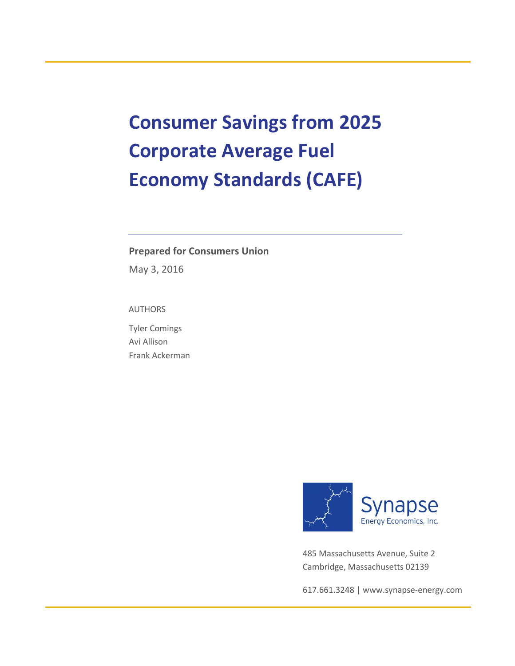# **Consumer Savings from 2025 Corporate Average Fuel Economy Standards (CAFE)**

#### **Prepared for Consumers Union**

May 3, 2016

AUTHORS

Tyler Comings Avi Allison Frank Ackerman



485 Massachusetts Avenue, Suite 2 Cambridge, Massachusetts 02139

617.661.3248 [| www.synapse-energy.com](http://www.synapse-energy.com/)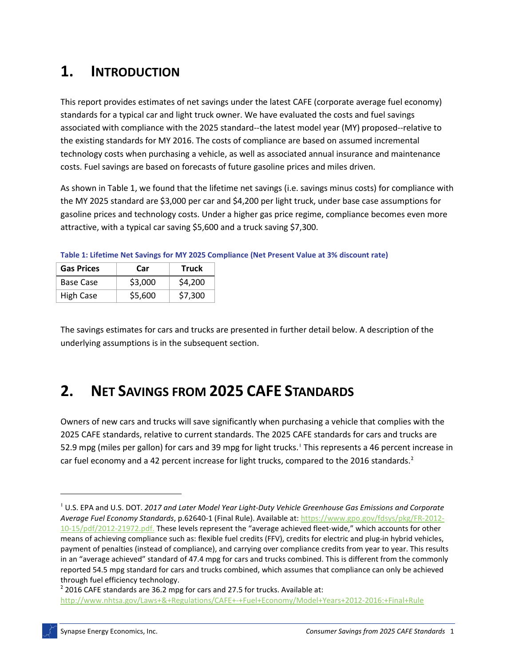# **1. INTRODUCTION**

This report provides estimates of net savings under the latest CAFE (corporate average fuel economy) standards for a typical car and light truck owner. We have evaluated the costs and fuel savings associated with compliance with the 2025 standard--the latest model year (MY) proposed--relative to the existing standards for MY 2016. The costs of compliance are based on assumed incremental technology costs when purchasing a vehicle, as well as associated annual insurance and maintenance costs. Fuel savings are based on forecasts of future gasoline prices and miles driven.

As shown in [Table 1,](#page-1-0) we found that the lifetime net savings (i.e. savings minus costs) for compliance with the MY 2025 standard are \$3,000 per car and \$4,200 per light truck, under base case assumptions for gasoline prices and technology costs. Under a higher gas price regime, compliance becomes even more attractive, with a typical car saving \$5,600 and a truck saving \$7,300.

| <b>Gas Prices</b> | Car     | <b>Truck</b> |
|-------------------|---------|--------------|
| Base Case         | \$3,000 | \$4,200      |
| <b>High Case</b>  | \$5,600 | \$7,300      |

<span id="page-1-0"></span>**Table 1: Lifetime Net Savings for MY 2025 Compliance (Net Present Value at 3% discount rate)**

The savings estimates for cars and trucks are presented in further detail below. A description of the underlying assumptions is in the subsequent section.

# **2. NET SAVINGS FROM 2025 CAFE STANDARDS**

Owners of new cars and trucks will save significantly when purchasing a vehicle that complies with the 2025 CAFE standards, relative to current standards. The 2025 CAFE standards for cars and trucks are 52.9 mpg (miles per gallon) for cars and 39 mpg for light trucks.<sup>[1](#page-1-1)</sup> This represents a 46 percent increase in car fuel economy and a 4[2](#page-1-2) percent increase for light trucks, compared to the 2016 standards.<sup>2</sup>

 $\overline{\phantom{a}}$ 

<span id="page-1-1"></span><sup>1</sup> U.S. EPA and U.S. DOT. *2017 and Later Model Year Light-Duty Vehicle Greenhouse Gas Emissions and Corporate Average Fuel Economy Standards*, p.62640-1 (Final Rule). Available at[: https://www.gpo.gov/fdsys/pkg/FR-2012-](https://www.gpo.gov/fdsys/pkg/FR-2012-10-15/pdf/2012-21972.pdf) [10-15/pdf/2012-21972.pdf.](https://www.gpo.gov/fdsys/pkg/FR-2012-10-15/pdf/2012-21972.pdf) These levels represent the "average achieved fleet-wide," which accounts for other means of achieving compliance such as: flexible fuel credits (FFV), credits for electric and plug-in hybrid vehicles, payment of penalties (instead of compliance), and carrying over compliance credits from year to year. This results in an "average achieved" standard of 47.4 mpg for cars and trucks combined. This is different from the commonly reported 54.5 mpg standard for cars and trucks combined, which assumes that compliance can only be achieved through fuel efficiency technology.

<span id="page-1-2"></span><sup>&</sup>lt;sup>2</sup> 2016 CAFE standards are 36.2 mpg for cars and 27.5 for trucks. Available at:

<http://www.nhtsa.gov/Laws+&+Regulations/CAFE+-+Fuel+Economy/Model+Years+2012-2016:+Final+Rule>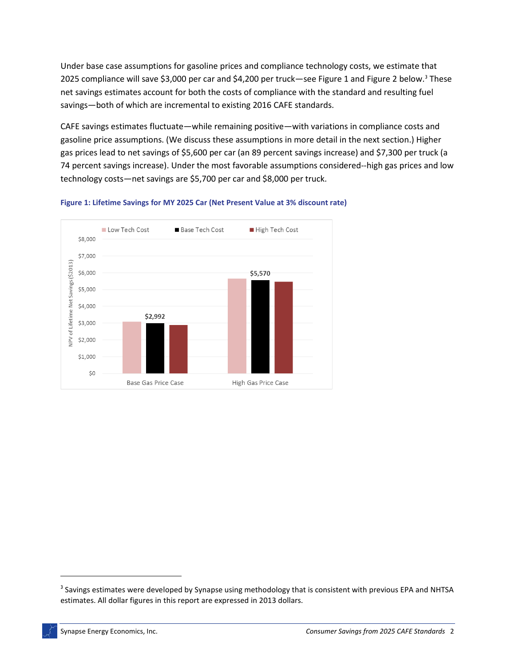Under base case assumptions for gasoline prices and compliance technology costs, we estimate that 2025 compliance will save \$3,000 per car and \$4,200 per truck—see Figure 1 and [Figure 2](#page-3-0) below.[3](#page-2-0) These net savings estimates account for both the costs of compliance with the standard and resulting fuel savings—both of which are incremental to existing 2016 CAFE standards.

CAFE savings estimates fluctuate—while remaining positive—with variations in compliance costs and gasoline price assumptions. (We discuss these assumptions in more detail in the next section.) Higher gas prices lead to net savings of \$5,600 per car (an 89 percent savings increase) and \$7,300 per truck (a 74 percent savings increase). Under the most favorable assumptions considered--high gas prices and low technology costs—net savings are \$5,700 per car and \$8,000 per truck.



**Figure 1: Lifetime Savings for MY 2025 Car (Net Present Value at 3% discount rate)**

l

<span id="page-2-0"></span><sup>&</sup>lt;sup>3</sup> Savings estimates were developed by Synapse using methodology that is consistent with previous EPA and NHTSA estimates. All dollar figures in this report are expressed in 2013 dollars.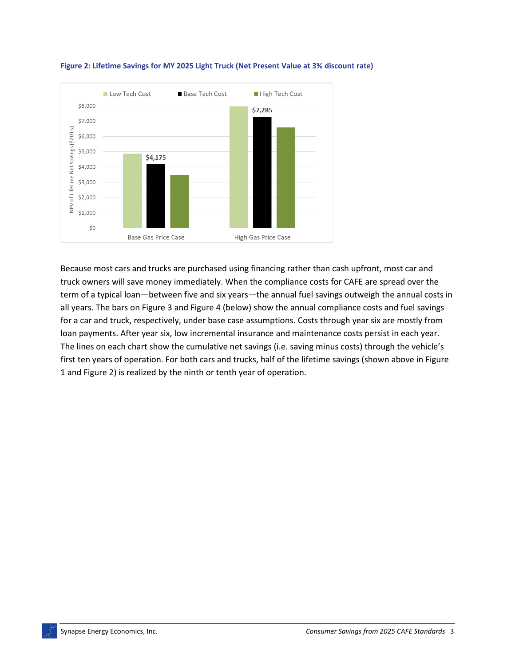

<span id="page-3-0"></span>

Because most cars and trucks are purchased using financing rather than cash upfront, most car and truck owners will save money immediately. When the compliance costs for CAFE are spread over the term of a typical loan—between five and six years—the annual fuel savings outweigh the annual costs in all years. The bars on Figure 3 an[d Figure 4](#page-4-0) (below) show the annual compliance costs and fuel savings for a car and truck, respectively, under base case assumptions. Costs through year six are mostly from loan payments. After year six, low incremental insurance and maintenance costs persist in each year. The lines on each chart show the cumulative net savings (i.e. saving minus costs) through the vehicle's first ten years of operation. For both cars and trucks, half of the lifetime savings (shown above in Figure 1 and [Figure 2\)](#page-3-0) is realized by the ninth or tenth year of operation.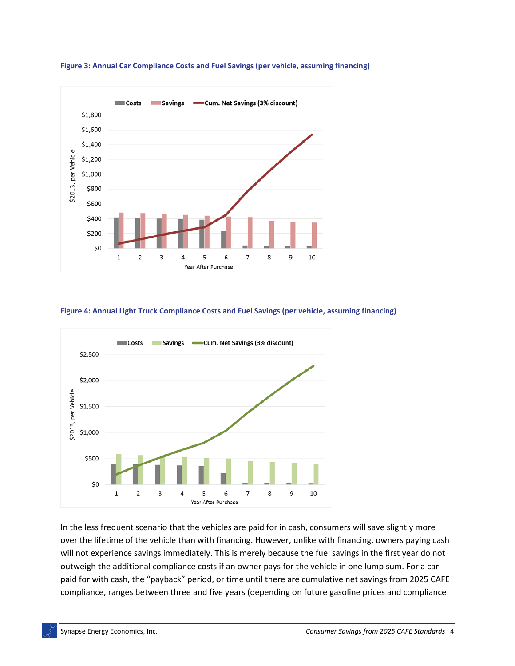

**Figure 3: Annual Car Compliance Costs and Fuel Savings (per vehicle, assuming financing)**

#### <span id="page-4-0"></span>**Figure 4: Annual Light Truck Compliance Costs and Fuel Savings (per vehicle, assuming financing)**



In the less frequent scenario that the vehicles are paid for in cash, consumers will save slightly more over the lifetime of the vehicle than with financing. However, unlike with financing, owners paying cash will not experience savings immediately. This is merely because the fuel savings in the first year do not outweigh the additional compliance costs if an owner pays for the vehicle in one lump sum. For a car paid for with cash, the "payback" period, or time until there are cumulative net savings from 2025 CAFE compliance, ranges between three and five years (depending on future gasoline prices and compliance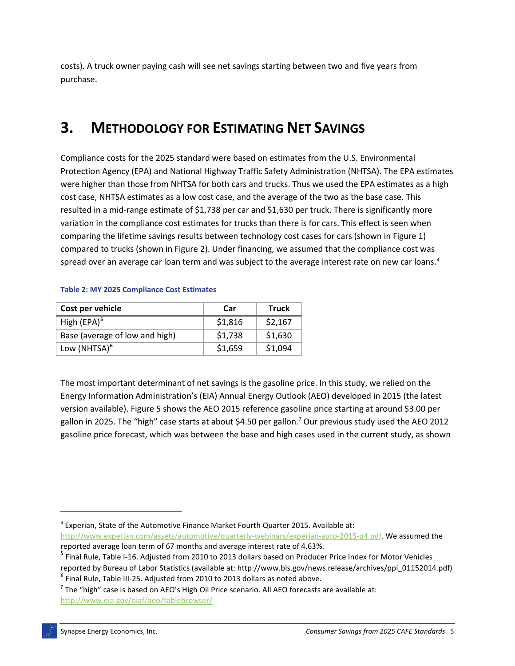costs). A truck owner paying cash will see net savings starting between two and five years from purchase.

# **3. METHODOLOGY FOR ESTIMATING NET SAVINGS**

Compliance costs for the 2025 standard were based on estimates from the U.S. Environmental Protection Agency (EPA) and National Highway Traffic Safety Administration (NHTSA). The EPA estimates were higher than those from NHTSA for both cars and trucks. Thus we used the EPA estimates as a high cost case, NHTSA estimates as a low cost case, and the average of the two as the base case. This resulted in a mid-range estimate of \$1,738 per car and \$1,630 per truck. There is significantly more variation in the compliance cost estimates for trucks than there is for cars. This effect is seen when comparing the lifetime savings results between technology cost cases for cars (shown in Figure 1) compared to trucks (shown i[n Figure 2\)](#page-3-0). Under financing, we assumed that the compliance cost was spread over an average car loan term and was subject to the average interest rate on new car loans.<sup>[4](#page-5-0)</sup>

| Cost per vehicle               | Car     | <b>Truck</b> |
|--------------------------------|---------|--------------|
| High $(EPA)^5$                 | \$1,816 | \$2,167      |
| Base (average of low and high) | \$1,738 | \$1,630      |
| Low (NHTSA) <sup>6</sup>       | \$1,659 | \$1,094      |

#### **Table 2: MY 2025 Compliance Cost Estimates**

The most important determinant of net savings is the gasoline price. In this study, we relied on the Energy Information Administration's (EIA) Annual Energy Outlook (AEO) developed in 2015 (the latest version available)[. Figure 5](#page-6-0) shows the AEO 2015 reference gasoline price starting at around \$3.00 per gallon in 2025. The "high" case starts at about \$4.50 per gallon.[7](#page-5-3) Our previous study used the AEO 2012 gasoline price forecast, which was between the base and high cases used in the current study, as shown

 $\overline{\phantom{a}}$ 

<span id="page-5-0"></span><sup>4</sup> Experian, State of the Automotive Finance Market Fourth Quarter 2015. Available at: [http://www.experian.com/assets/automotive/quarterly-webinars/experian-auto-2015-q4.pdf.](http://www.experian.com/assets/automotive/quarterly-webinars/experian-auto-2015-q4.pdf) We assumed the reported average loan term of 67 months and average interest rate of 4.63%.

<span id="page-5-1"></span><sup>&</sup>lt;sup>5</sup> Final Rule, Table I-16. Adjusted from 2010 to 2013 dollars based on Producer Price Index for Motor Vehicles reported by Bureau of Labor Statistics (available at: http://www.bls.gov/news.release/archives/ppi\_01152014.pdf)

<span id="page-5-2"></span><sup>&</sup>lt;sup>6</sup> Final Rule, Table III-25. Adjusted from 2010 to 2013 dollars as noted above.

<span id="page-5-3"></span> $<sup>7</sup>$  The "high" case is based on AEO's High Oil Price scenario. All AEO forecasts are available at:</sup> <http://www.eia.gov/oiaf/aeo/tablebrowser/>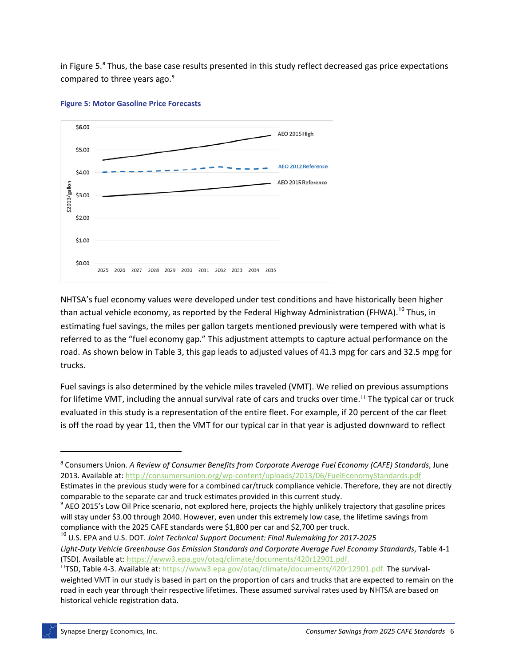in Figure 5.<sup>[8](#page-6-1)</sup> Thus, the base case results presented in this study reflect decreased gas price expectations compared to three years ago.<sup>[9](#page-6-2)</sup>



<span id="page-6-0"></span>

NHTSA's fuel economy values were developed under test conditions and have historically been higher than actual vehicle economy, as reported by the Federal Highway Administration (FHWA).<sup>[10](#page-6-3)</sup> Thus, in estimating fuel savings, the miles per gallon targets mentioned previously were tempered with what is referred to as the "fuel economy gap." This adjustment attempts to capture actual performance on the road. As shown below in [Table 3,](#page-7-0) this gap leads to adjusted values of 41.3 mpg for cars and 32.5 mpg for trucks.

Fuel savings is also determined by the vehicle miles traveled (VMT). We relied on previous assumptions for lifetime VMT, including the annual survival rate of cars and trucks over time.<sup>[11](#page-6-4)</sup> The typical car or truck evaluated in this study is a representation of the entire fleet. For example, if 20 percent of the car fleet is off the road by year 11, then the VMT for our typical car in that year is adjusted downward to reflect

l

<span id="page-6-1"></span><sup>8</sup> Consumers Union. *A Review of Consumer Benefits from Corporate Average Fuel Economy (CAFE) Standards*, June 2013. Available at[: http://consumersunion.org/wp-content/uploads/2013/06/FuelEconomyStandards.pdf](http://consumersunion.org/wp-content/uploads/2013/06/FuelEconomyStandards.pdf) Estimates in the previous study were for a combined car/truck compliance vehicle. Therefore, they are not directly

<span id="page-6-2"></span>comparable to the separate car and truck estimates provided in this current study. <sup>9</sup> AEO 2015's Low Oil Price scenario, not explored here, projects the highly unlikely trajectory that gasoline prices

will stay under \$3.00 through 2040. However, even under this extremely low case, the lifetime savings from compliance with the 2025 CAFE standards were \$1,800 per car and \$2,700 per truck.

<span id="page-6-3"></span><sup>10</sup> U.S. EPA and U.S. DOT. *Joint Technical Support Document: Final Rulemaking for 2017-2025 Light-Duty Vehicle Greenhouse Gas Emission Standards and Corporate Average Fuel Economy Standards*, Table 4-1 (TSD). Available at: [https://www3.epa.gov/otaq/climate/documents/420r12901.pdf.](https://www3.epa.gov/otaq/climate/documents/420r12901.pdf)

<span id="page-6-4"></span><sup>&</sup>lt;sup>11</sup>TSD, Table 4-3. Available at: [https://www3.epa.gov/otaq/climate/documents/420r12901.pdf.](https://www3.epa.gov/otaq/climate/documents/420r12901.pdf) The survivalweighted VMT in our study is based in part on the proportion of cars and trucks that are expected to remain on the road in each year through their respective lifetimes. These assumed survival rates used by NHTSA are based on historical vehicle registration data.